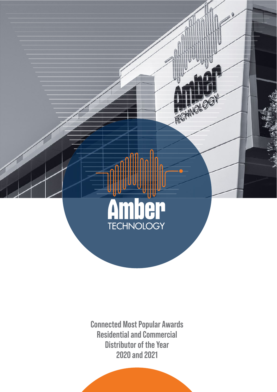

**Connected Most Popular Awards Residential and Commercial Distributor of the Year 2020 and 2021**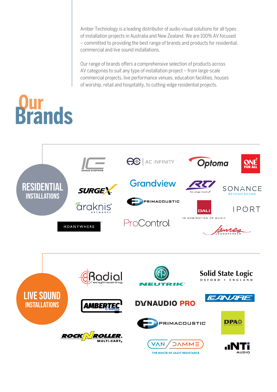Amber Technology is a leading distributor of audio visual solutions for all types of installation projects in Australia and New Zealand. We are 100% AV focused – committed to providing the best range of brands and products for residential, commercial and live sound installations.

Our range of brands offers a comprehensive selection of products across AV categories to suit any type of installation project – from large-scale commercial projects, live performance venues, education facilities, houses of worship, retail and hospitality, to cutting-edge residential projects.

# **Dur<br>Brands**



THE ROUTE OF LEAST RESISTANCE

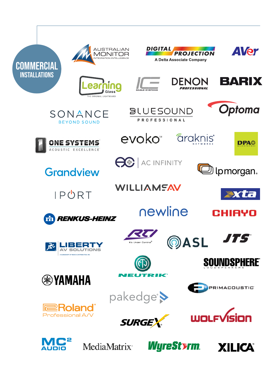